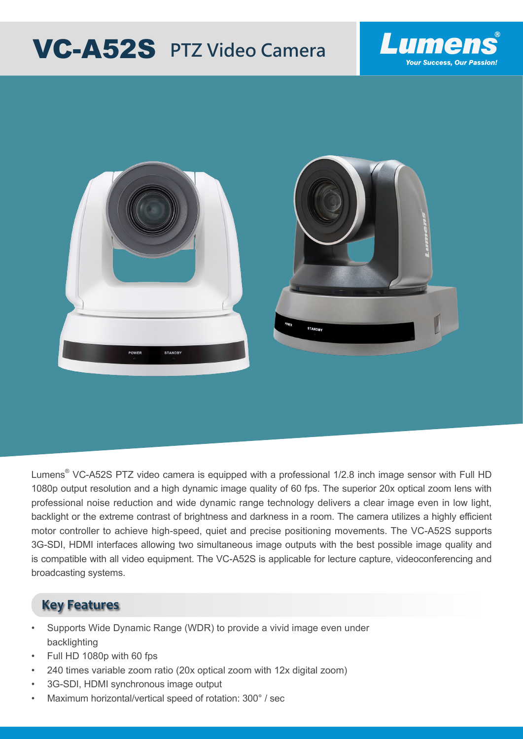# **VC-A52S** PTZ Video Camera





Lumens $^\circ$  VC-A52S PTZ video camera is equipped with a professional 1/2.8 inch image sensor with Full HD 1080p output resolution and a high dynamic image quality of 60 fps. The superior 20x optical zoom lens with professional noise reduction and wide dynamic range technology delivers a clear image even in low light, backlight or the extreme contrast of brightness and darkness in a room. The camera utilizes a highly efficient motor controller to achieve high-speed, quiet and precise positioning movements. The VC-A52S supports 3G-SDI, HDMI interfaces allowing two simultaneous image outputs with the best possible image quality and is compatible with all video equipment. The VC-A52S is applicable for lecture capture, videoconferencing and broadcasting systems.

#### **Key Features**

- Supports Wide Dynamic Range (WDR) to provide a vivid image even under backlighting
- Full HD 1080p with 60 fps
- 240 times variable zoom ratio (20x optical zoom with 12x digital zoom)
- 3G-SDI, HDMI synchronous image output
- Maximum horizontal/vertical speed of rotation: 300° / sec